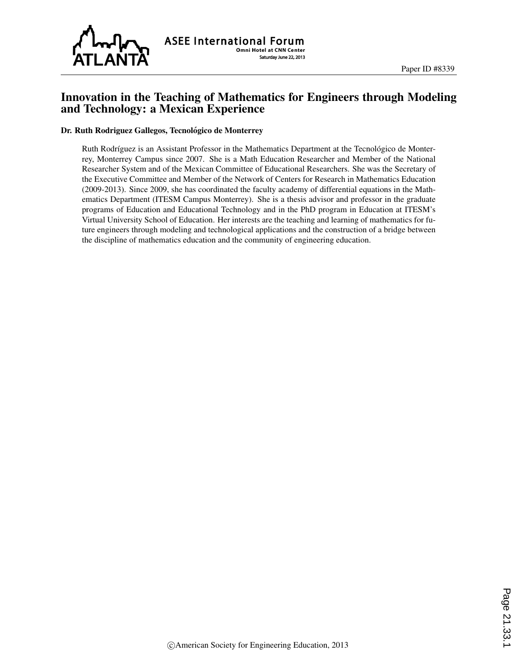

# Innovation in the Teaching of Mathematics for Engineers through Modeling and Technology: a Mexican Experience

#### Dr. Ruth Rodriguez Gallegos, Tecnológico de Monterrey

Ruth Rodríguez is an Assistant Professor in the Mathematics Department at the Tecnológico de Monterrey, Monterrey Campus since 2007. She is a Math Education Researcher and Member of the National Researcher System and of the Mexican Committee of Educational Researchers. She was the Secretary of the Executive Committee and Member of the Network of Centers for Research in Mathematics Education (2009-2013). Since 2009, she has coordinated the faculty academy of differential equations in the Mathematics Department (ITESM Campus Monterrey). She is a thesis advisor and professor in the graduate programs of Education and Educational Technology and in the PhD program in Education at ITESM's Virtual University School of Education. Her interests are the teaching and learning of mathematics for future engineers through modeling and technological applications and the construction of a bridge between the discipline of mathematics education and the community of engineering education.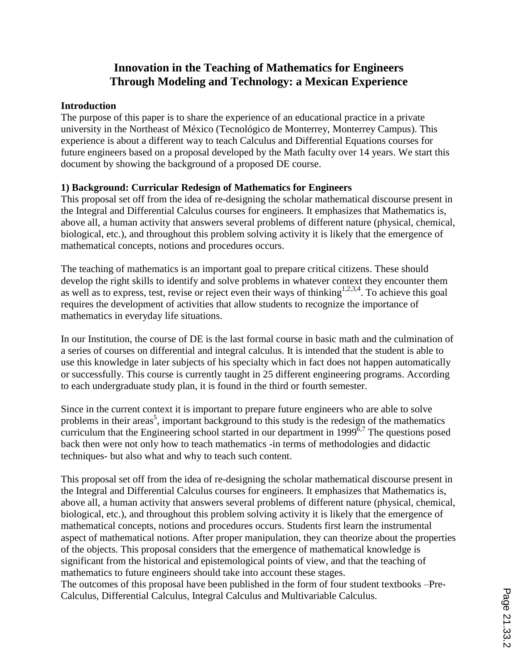# **Innovation in the Teaching of Mathematics for Engineers Through Modeling and Technology: a Mexican Experience**

#### **Introduction**

The purpose of this paper is to share the experience of an educational practice in a private university in the Northeast of México (Tecnológico de Monterrey, Monterrey Campus). This experience is about a different way to teach Calculus and Differential Equations courses for future engineers based on a proposal developed by the Math faculty over 14 years. We start this document by showing the background of a proposed DE course.

# **1) Background: Curricular Redesign of Mathematics for Engineers**

This proposal set off from the idea of re-designing the scholar mathematical discourse present in the Integral and Differential Calculus courses for engineers. It emphasizes that Mathematics is, above all, a human activity that answers several problems of different nature (physical, chemical, biological, etc.), and throughout this problem solving activity it is likely that the emergence of mathematical concepts, notions and procedures occurs.

The teaching of mathematics is an important goal to prepare critical citizens. These should develop the right skills to identify and solve problems in whatever context they encounter them as well as to express, test, revise or reject even their ways of thinking<sup>1,2,3,4</sup>. To achieve this goal requires the development of activities that allow students to recognize the importance of mathematics in everyday life situations.

In our Institution, the course of DE is the last formal course in basic math and the culmination of a series of courses on differential and integral calculus. It is intended that the student is able to use this knowledge in later subjects of his specialty which in fact does not happen automatically or successfully. This course is currently taught in 25 different engineering programs. According to each undergraduate study plan, it is found in the third or fourth semester.

Since in the current context it is important to prepare future engineers who are able to solve problems in their areas<sup>5</sup>, important background to this study is the redesign of the mathematics curriculum that the Engineering school started in our department in 1999 $\frac{3}{2}$ . The questions posed back then were not only how to teach mathematics -in terms of methodologies and didactic techniques- but also what and why to teach such content.

This proposal set off from the idea of re-designing the scholar mathematical discourse present in the Integral and Differential Calculus courses for engineers. It emphasizes that Mathematics is, above all, a human activity that answers several problems of different nature (physical, chemical, biological, etc.), and throughout this problem solving activity it is likely that the emergence of mathematical concepts, notions and procedures occurs. Students first learn the instrumental aspect of mathematical notions. After proper manipulation, they can theorize about the properties of the objects. This proposal considers that the emergence of mathematical knowledge is significant from the historical and epistemological points of view, and that the teaching of mathematics to future engineers should take into account these stages. The outcomes of this proposal have been published in the form of four student textbooks –Pre-

Calculus, Differential Calculus, Integral Calculus and Multivariable Calculus.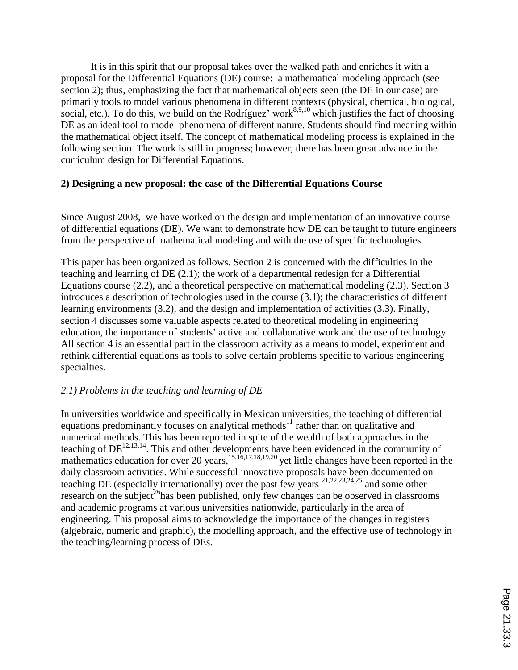It is in this spirit that our proposal takes over the walked path and enriches it with a proposal for the Differential Equations (DE) course: a mathematical modeling approach (see section 2); thus, emphasizing the fact that mathematical objects seen (the DE in our case) are primarily tools to model various phenomena in different contexts (physical, chemical, biological, social, etc.). To do this, we build on the Rodríguez' work<sup>8,9,10</sup> which justifies the fact of choosing DE as an ideal tool to model phenomena of different nature. Students should find meaning within the mathematical object itself. The concept of mathematical modeling process is explained in the following section. The work is still in progress; however, there has been great advance in the curriculum design for Differential Equations.

# **2) Designing a new proposal: the case of the Differential Equations Course**

Since August 2008, we have worked on the design and implementation of an innovative course of differential equations (DE). We want to demonstrate how DE can be taught to future engineers from the perspective of mathematical modeling and with the use of specific technologies.

This paper has been organized as follows. Section 2 is concerned with the difficulties in the teaching and learning of DE (2.1); the work of a departmental redesign for a Differential Equations course (2.2), and a theoretical perspective on mathematical modeling (2.3). Section 3 introduces a description of technologies used in the course (3.1); the characteristics of different learning environments (3.2), and the design and implementation of activities (3.3). Finally, section 4 discusses some valuable aspects related to theoretical modeling in engineering education, the importance of students' active and collaborative work and the use of technology. All section 4 is an essential part in the classroom activity as a means to model, experiment and rethink differential equations as tools to solve certain problems specific to various engineering specialties.

# *2.1) Problems in the teaching and learning of DE*

In universities worldwide and specifically in Mexican universities, the teaching of differential equations predominantly focuses on analytical methods<sup>11</sup> rather than on qualitative and numerical methods. This has been reported in spite of the wealth of both approaches in the teaching of  $DE^{12,13,14}$ . This and other developments have been evidenced in the community of mathematics education for over 20 years,<sup>15,16,17,18,19,20</sup> yet little changes have been reported in the daily classroom activities. While successful innovative proposals have been documented on teaching DE (especially internationally) over the past few years 21,22,23,24,25 and some other research on the subject<sup>26</sup>has been published, only few changes can be observed in classrooms and academic programs at various universities nationwide, particularly in the area of engineering. This proposal aims to acknowledge the importance of the changes in registers (algebraic, numeric and graphic), the modelling approach, and the effective use of technology in the teaching/learning process of DEs.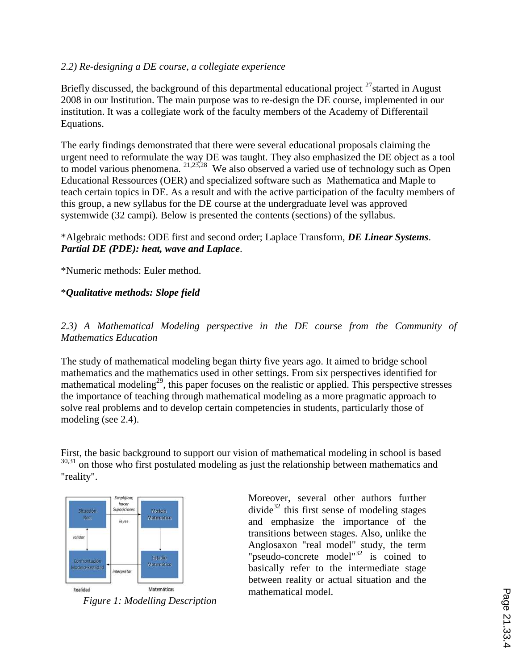# *2.2) Re-designing a DE course, a collegiate experience*

Briefly discussed, the background of this departmental educational project  $^{27}$  started in August 2008 in our Institution. The main purpose was to re-design the DE course, implemented in our institution. It was a collegiate work of the faculty members of the Academy of Differentail Equations.

The early findings demonstrated that there were several educational proposals claiming the urgent need to reformulate the way DE was taught. They also emphasized the DE object as a tool to model various phenomena. <sup>21,23,28</sup> We also observed a varied use of technology such as Open Educational Ressources (OER) and specialized software such as Mathematica and Maple to teach certain topics in DE. As a result and with the active participation of the faculty members of this group, a new syllabus for the DE course at the undergraduate level was approved systemwide (32 campi). Below is presented the contents (sections) of the syllabus.

# \*Algebraic methods: ODE first and second order; Laplace Transform, *DE Linear Systems*. *Partial DE (PDE): heat, wave and Laplace*.

\*Numeric methods: Euler method.

# \**Qualitative methods: Slope field*

*2.3) A Mathematical Modeling perspective in the DE course from the Community of Mathematics Education* 

The study of mathematical modeling began thirty five years ago. It aimed to bridge school mathematics and the mathematics used in other settings. From six perspectives identified for mathematical modeling<sup>29</sup>, this paper focuses on the realistic or applied. This perspective stresses the importance of teaching through mathematical modeling as a more pragmatic approach to solve real problems and to develop certain competencies in students, particularly those of modeling (see 2.4).

First, the basic background to support our vision of mathematical modeling in school is based  $30,31$  on those who first postulated modeling as just the relationship between mathematics and "reality".



*Figure 1: Modelling Description*

Moreover, several other authors further divide<sup>32</sup> this first sense of modeling stages and emphasize the importance of the transitions between stages. Also, unlike the Anglosaxon "real model" study, the term "pseudo-concrete model"<sup>32</sup> is coined to basically refer to the intermediate stage between reality or actual situation and the mathematical model.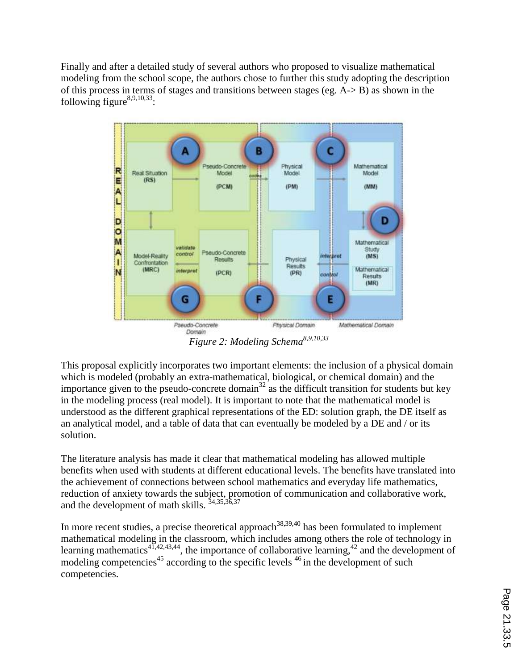Finally and after a detailed study of several authors who proposed to visualize mathematical modeling from the school scope, the authors chose to further this study adopting the description of this process in terms of stages and transitions between stages (eg. A-> B) as shown in the following figure $8,9,10,33$ :



*Figure 2: Modeling Schema8,9,10,33*

This proposal explicitly incorporates two important elements: the inclusion of a physical domain which is modeled (probably an extra-mathematical, biological, or chemical domain) and the importance given to the pseudo-concrete domain<sup>32</sup> as the difficult transition for students but key in the modeling process (real model). It is important to note that the mathematical model is understood as the different graphical representations of the ED: solution graph, the DE itself as an analytical model, and a table of data that can eventually be modeled by a DE and / or its solution.

The literature analysis has made it clear that mathematical modeling has allowed multiple benefits when used with students at different educational levels. The benefits have translated into the achievement of connections between school mathematics and everyday life mathematics, reduction of anxiety towards the subject, promotion of communication and collaborative work, and the development of math skills. 34,35,36,37

In more recent studies, a precise theoretical approach<sup>38,39,40</sup> has been formulated to implement mathematical modeling in the classroom, which includes among others the role of technology in learning mathematics<sup>41,42,43,44</sup>, the importance of collaborative learning,<sup>42</sup> and the development of modeling competencies<sup>45</sup> according to the specific levels  $46$  in the development of such competencies.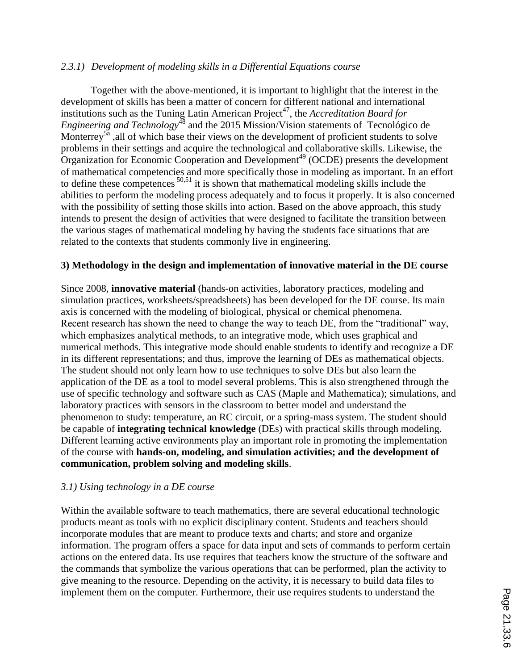# *2.3.1) Development of modeling skills in a Differential Equations course*

Together with the above-mentioned, it is important to highlight that the interest in the development of skills has been a matter of concern for different national and international institutions such as the Tuning Latin American Project<sup>47</sup>, the *Accreditation Board for Engineering and Technology*<sup>48</sup> and the 2015 Mission/Vision statements of Tecnológico de Monterrey<sup>5a</sup>, all of which base their views on the development of proficient students to solve problems in their settings and acquire the technological and collaborative skills. Likewise, the Organization for Economic Cooperation and Development<sup>49</sup> (OCDE) presents the development of mathematical competencies and more specifically those in modeling as important. In an effort to define these competences 50,51 it is shown that mathematical modeling skills include the abilities to perform the modeling process adequately and to focus it properly. It is also concerned with the possibility of setting those skills into action. Based on the above approach, this study intends to present the design of activities that were designed to facilitate the transition between the various stages of mathematical modeling by having the students face situations that are related to the contexts that students commonly live in engineering.

# **3) Methodology in the design and implementation of innovative material in the DE course**

Since 2008, **innovative material** (hands-on activities, laboratory practices, modeling and simulation practices, worksheets/spreadsheets) has been developed for the DE course. Its main axis is concerned with the modeling of biological, physical or chemical phenomena. Recent research has shown the need to change the way to teach DE, from the "traditional" way, which emphasizes analytical methods, to an integrative mode, which uses graphical and numerical methods. This integrative mode should enable students to identify and recognize a DE in its different representations; and thus, improve the learning of DEs as mathematical objects. The student should not only learn how to use techniques to solve DEs but also learn the application of the DE as a tool to model several problems. This is also strengthened through the use of specific technology and software such as CAS (Maple and Mathematica); simulations, and laboratory practices with sensors in the classroom to better model and understand the phenomenon to study: temperature, an RC circuit, or a spring-mass system. The student should be capable of **integrating technical knowledge** (DEs) with practical skills through modeling. Different learning active environments play an important role in promoting the implementation of the course with **hands-on, modeling, and simulation activities; and the development of communication, problem solving and modeling skills**.

#### *3.1) Using technology in a DE course*

Within the available software to teach mathematics, there are several educational technologic products meant as tools with no explicit disciplinary content. Students and teachers should incorporate modules that are meant to produce texts and charts; and store and organize information. The program offers a space for data input and sets of commands to perform certain actions on the entered data. Its use requires that teachers know the structure of the software and the commands that symbolize the various operations that can be performed, plan the activity to give meaning to the resource. Depending on the activity, it is necessary to build data files to implement them on the computer. Furthermore, their use requires students to understand the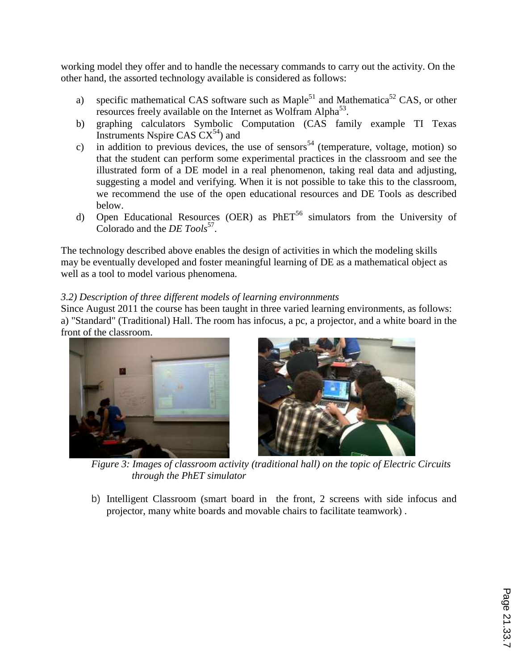working model they offer and to handle the necessary commands to carry out the activity. On the other hand, the assorted technology available is considered as follows:

- a) specific mathematical CAS software such as Maple<sup>51</sup> and Mathematica<sup>52</sup> CAS, or other resources freely available on the Internet as Wolfram Alpha<sup>53</sup>.
- b) graphing calculators Symbolic Computation (CAS family example TI Texas Instruments Nspire CAS  $CX^{54}$ ) and
- c) in addition to previous devices, the use of sensors<sup>54</sup> (temperature, voltage, motion) so that the student can perform some experimental practices in the classroom and see the illustrated form of a DE model in a real phenomenon, taking real data and adjusting, suggesting a model and verifying. When it is not possible to take this to the classroom, we recommend the use of the open educational resources and DE Tools as described below.
- d) Open Educational Resources (OER) as  $PhET<sup>56</sup>$  simulators from the University of Colorado and the *DE Tools*<sup>57</sup>.

The technology described above enables the design of activities in which the modeling skills may be eventually developed and foster meaningful learning of DE as a mathematical object as well as a tool to model various phenomena.

# *3.2) Description of three different models of learning environnments*

Since August 2011 the course has been taught in three varied learning environments, as follows: a) "Standard" (Traditional) Hall. The room has infocus, a pc, a projector, and a white board in the front of the classroom.





*Figure 3: Images of classroom activity (traditional hall) on the topic of Electric Circuits through the PhET simulator*

b) Intelligent Classroom (smart board in the front, 2 screens with side infocus and projector, many white boards and movable chairs to facilitate teamwork) .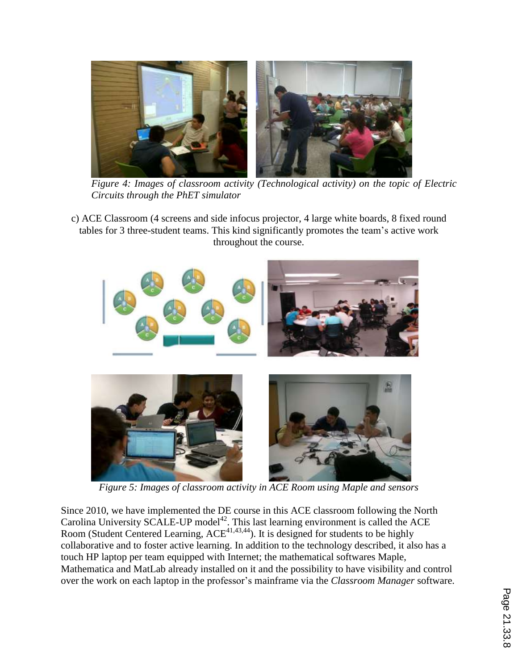

*Figure 4: Images of classroom activity (Technological activity) on the topic of Electric Circuits through the PhET simulator*

c) ACE Classroom (4 screens and side infocus projector, 4 large white boards, 8 fixed round tables for 3 three-student teams. This kind significantly promotes the team's active work throughout the course.



*Figure 5: Images of classroom activity in ACE Room using Maple and sensors*

Since 2010, we have implemented the DE course in this ACE classroom following the North Carolina University SCALE-UP model<sup>42</sup>. This last learning environment is called the ACE Room (Student Centered Learning,  $ACE^{41,43,44}$ ). It is designed for students to be highly collaborative and to foster active learning. In addition to the technology described, it also has a touch HP laptop per team equipped with Internet; the mathematical softwares Maple, Mathematica and MatLab already installed on it and the possibility to have visibility and control over the work on each laptop in the professor's mainframe via the *Classroom Manager* software.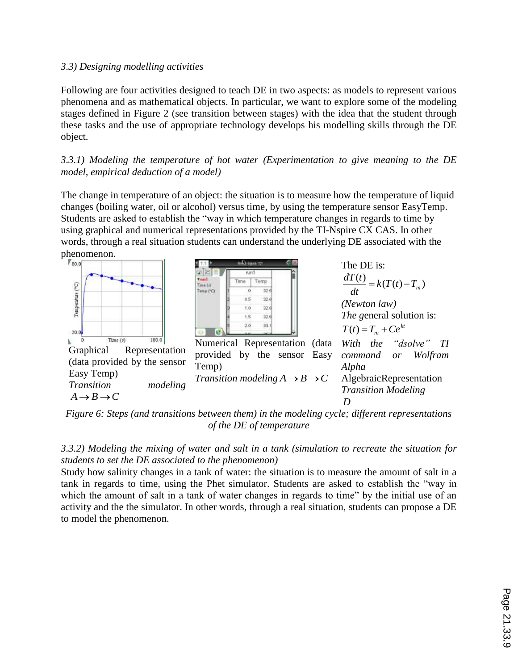# *3.3) Designing modelling activities*

Following are four activities designed to teach DE in two aspects: as models to represent various phenomena and as mathematical objects. In particular, we want to explore some of the modeling stages defined in Figure 2 (see transition between stages) with the idea that the student through these tasks and the use of appropriate technology develops his modelling skills through the DE object.

*3.3.1) Modeling the temperature of hot water (Experimentation to give meaning to the DE model, empirical deduction of a model)*

The change in temperature of an object: the situation is to measure how the temperature of liquid changes (boiling water, oil or alcohol) versus time, by using the temperature sensor EasyTemp. Students are asked to establish the "way in which temperature changes in regards to time by using graphical and numerical representations provided by the TI-Nspire CX CAS. In other words, through a real situation students can understand the underlying DE associated with the



*Figure 6: Steps (and transitions between them) in the modeling cycle; different representations of the DE of temperature*

*3.3.2) Modeling the mixing of water and salt in a tank (simulation to recreate the situation for students to set the DE associated to the phenomenon)*

Study how salinity changes in a tank of water: the situation is to measure the amount of salt in a tank in regards to time, using the Phet simulator. Students are asked to establish the "way in which the amount of salt in a tank of water changes in regards to time" by the initial use of an activity and the the simulator. In other words, through a real situation, students can propose a DE to model the phenomenon.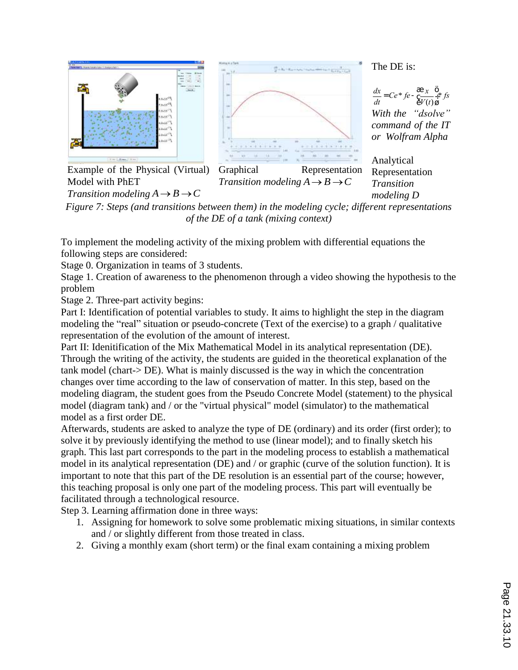

Example of the Physical (Virtual) Model with PhET *Transition modeling*  $A \rightarrow B \rightarrow C$ 



Graphical Representation *Transition modeling*  $A \rightarrow B \rightarrow C$ 

The DE is:

*dx*  $\frac{dx}{dt} = Ce^* f e - \frac{a}{6} \frac{x}{V(t)}$  $V(t)$ æ è ç ö ø ÷\* *fs With the "dsolve" command of the IT or Wolfram Alpha*

Analytical Representation *Transition modeling D*

*Figure 7: Steps (and transitions between them) in the modeling cycle; different representations of the DE of a tank (mixing context)*

To implement the modeling activity of the mixing problem with differential equations the following steps are considered:

Stage 0. Organization in teams of 3 students.

Stage 1. Creation of awareness to the phenomenon through a video showing the hypothesis to the problem

Stage 2. Three-part activity begins:

Part I: Identification of potential variables to study. It aims to highlight the step in the diagram modeling the "real" situation or pseudo-concrete (Text of the exercise) to a graph / qualitative representation of the evolution of the amount of interest.

Part II: Idenitification of the Mix Mathematical Model in its analytical representation (DE). Through the writing of the activity, the students are guided in the theoretical explanation of the tank model (chart-> DE). What is mainly discussed is the way in which the concentration changes over time according to the law of conservation of matter. In this step, based on the modeling diagram, the student goes from the Pseudo Concrete Model (statement) to the physical model (diagram tank) and / or the "virtual physical" model (simulator) to the mathematical model as a first order DE.

Afterwards, students are asked to analyze the type of DE (ordinary) and its order (first order); to solve it by previously identifying the method to use (linear model); and to finally sketch his graph. This last part corresponds to the part in the modeling process to establish a mathematical model in its analytical representation (DE) and / or graphic (curve of the solution function). It is important to note that this part of the DE resolution is an essential part of the course; however, this teaching proposal is only one part of the modeling process. This part will eventually be facilitated through a technological resource.

Step 3. Learning affirmation done in three ways:

- 1. Assigning for homework to solve some problematic mixing situations, in similar contexts and / or slightly different from those treated in class.
- 2. Giving a monthly exam (short term) or the final exam containing a mixing problem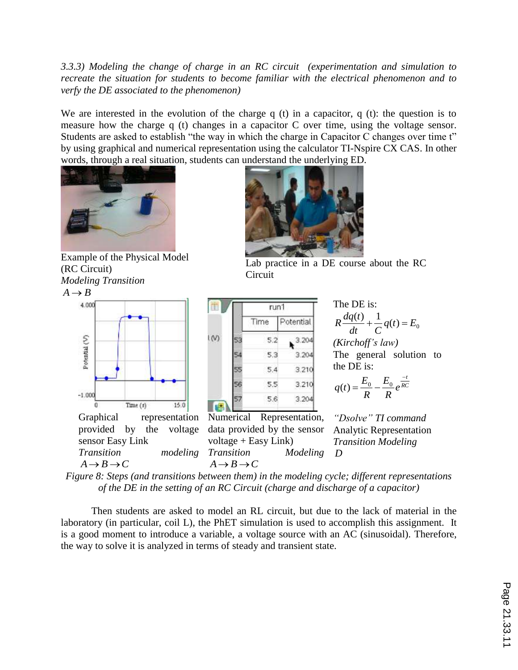*3.3.3) Modeling the change of charge in an RC circuit (experimentation and simulation to recreate the situation for students to become familiar with the electrical phenomenon and to verfy the DE associated to the phenomenon)*

We are interested in the evolution of the charge q (t) in a capacitor, q (t): the question is to measure how the charge q (t) changes in a capacitor C over time, using the voltage sensor. Students are asked to establish "the way in which the charge in Capacitor C changes over time t" by using graphical and numerical representation using the calculator TI-Nspire CX CAS. In other words, through a real situation, students can understand the underlying ED.



Example of the Physical Model (RC Circuit) *Modeling Transition*

 $A \rightarrow B$ 







Lab practice in a DE course about the RC Circuit

|  | run1 |           |
|--|------|-----------|
|  | Time | Potential |
|  | 5.2  | 3.204     |
|  | 5.3  | 3.204     |
|  | 5.4  | 3.210     |
|  | 5.5  | 3.210     |
|  | 5.6  | 3.204     |

Numerical Representation, data provided by the sensor  $voltage + Easy Link)$ *Transition Modeling* The DE is:  $\frac{(t)}{dt} + \frac{1}{C}q(t) = E_0$ *dt C*  $R\frac{dq(t)}{dt} + \frac{1}{q}(t) =$ 

*(Kirchoff's law)* The general solution to the DE is:

$$
q(t) = \frac{E_0}{R} - \frac{E_0}{R}e^{\frac{-t}{RC}}
$$

*"Dsolve" TI command* Analytic Representation *Transition Modeling D*

*Figure 8: Steps (and transitions between them) in the modeling cycle; different representations of the DE in the setting of an RC Circuit (charge and discharge of a capacitor)*

Then students are asked to model an RL circuit, but due to the lack of material in the laboratory (in particular, coil L), the PhET simulation is used to accomplish this assignment. It is a good moment to introduce a variable, a voltage source with an AC (sinusoidal). Therefore, the way to solve it is analyzed in terms of steady and transient state.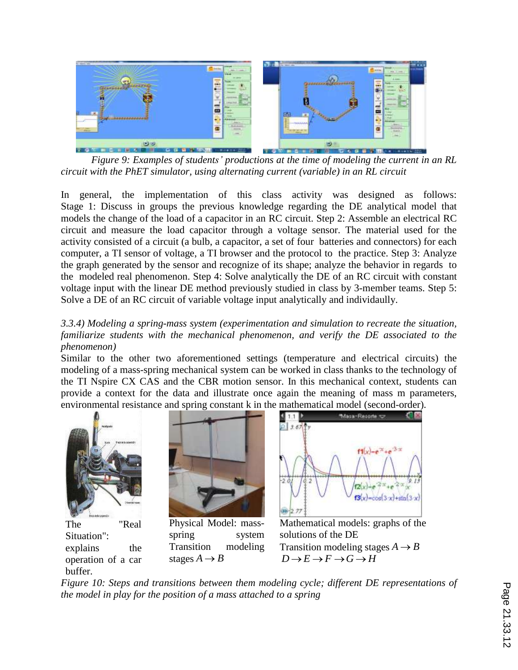

*Figure 9: Examples of students' productions at the time of modeling the current in an RL circuit with the PhET simulator, using alternating current (variable) in an RL circuit*

In general, the implementation of this class activity was designed as follows: Stage 1: Discuss in groups the previous knowledge regarding the DE analytical model that models the change of the load of a capacitor in an RC circuit. Step 2: Assemble an electrical RC circuit and measure the load capacitor through a voltage sensor. The material used for the activity consisted of a circuit (a bulb, a capacitor, a set of four batteries and connectors) for each computer, a TI sensor of voltage, a TI browser and the protocol to the practice. Step 3: Analyze the graph generated by the sensor and recognize of its shape; analyze the behavior in regards to the modeled real phenomenon. Step 4: Solve analytically the DE of an RC circuit with constant voltage input with the linear DE method previously studied in class by 3-member teams. Step 5: Solve a DE of an RC circuit of variable voltage input analytically and individaully.

*3.3.4) Modeling a spring-mass system (experimentation and simulation to recreate the situation, familiarize students with the mechanical phenomenon, and verify the DE associated to the phenomenon)*

Similar to the other two aforementioned settings (temperature and electrical circuits) the modeling of a mass-spring mechanical system can be worked in class thanks to the technology of the TI Nspire CX CAS and the CBR motion sensor. In this mechanical context, students can provide a context for the data and illustrate once again the meaning of mass m parameters, environmental resistance and spring constant k in the mathematical model (second-order).



The "Real Situation": explains the operation of a car buffer.



Physical Model: massspring system Transition modeling stages  $A \rightarrow B$ 



Mathematical models: graphs of the solutions of the DE Transition modeling stages  $A \rightarrow B$  $D \rightarrow E \rightarrow F \rightarrow G \rightarrow H$ 

*Figure 10: Steps and transitions between them modeling cycle; different DE representations of the model in play for the position of a mass attached to a spring*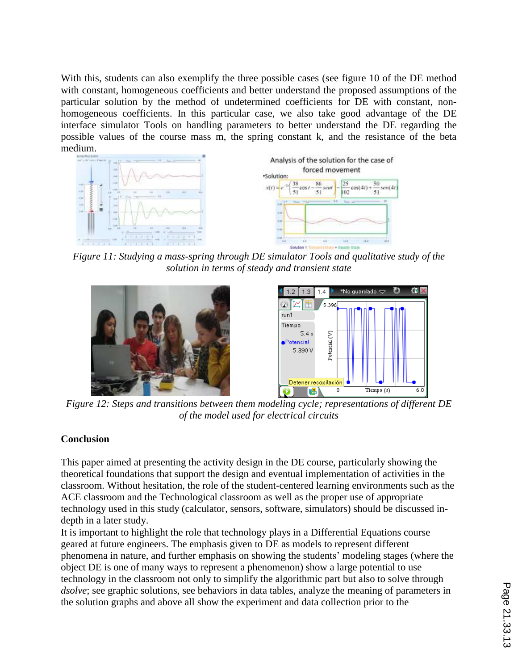With this, students can also exemplify the three possible cases (see figure 10 of the DE method with constant, homogeneous coefficients and better understand the proposed assumptions of the particular solution by the method of undetermined coefficients for DE with constant, nonhomogeneous coefficients. In this particular case, we also take good advantage of the DE interface simulator Tools on handling parameters to better understand the DE regarding the possible values of the course mass m, the spring constant k, and the resistance of the beta medium.





*Figure 11: Studying a mass-spring through DE simulator Tools and qualitative study of the solution in terms of steady and transient state*





*Figure 12: Steps and transitions between them modeling cycle; representations of different DE of the model used for electrical circuits*

# **Conclusion**

This paper aimed at presenting the activity design in the DE course, particularly showing the theoretical foundations that support the design and eventual implementation of activities in the classroom. Without hesitation, the role of the student-centered learning environments such as the ACE classroom and the Technological classroom as well as the proper use of appropriate technology used in this study (calculator, sensors, software, simulators) should be discussed indepth in a later study.

It is important to highlight the role that technology plays in a Differential Equations course geared at future engineers. The emphasis given to DE as models to represent different phenomena in nature, and further emphasis on showing the students' modeling stages (where the object DE is one of many ways to represent a phenomenon) show a large potential to use technology in the classroom not only to simplify the algorithmic part but also to solve through *dsolve*; see graphic solutions, see behaviors in data tables, analyze the meaning of parameters in the solution graphs and above all show the experiment and data collection prior to the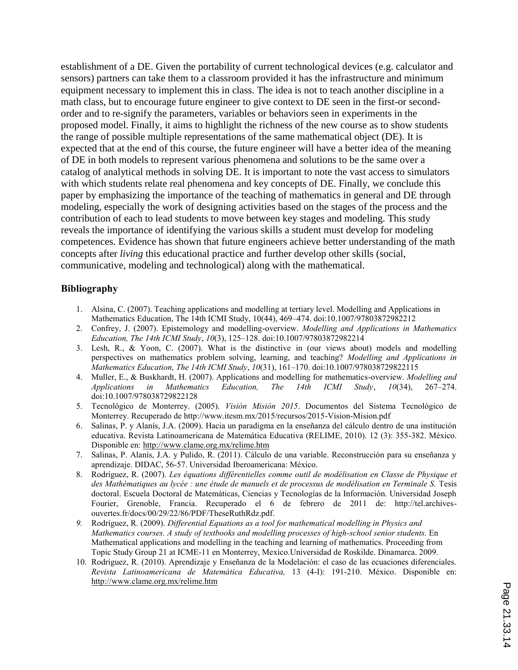establishment of a DE. Given the portability of current technological devices (e.g. calculator and sensors) partners can take them to a classroom provided it has the infrastructure and minimum equipment necessary to implement this in class. The idea is not to teach another discipline in a math class, but to encourage future engineer to give context to DE seen in the first-or secondorder and to re-signify the parameters, variables or behaviors seen in experiments in the proposed model. Finally, it aims to highlight the richness of the new course as to show students the range of possible multiple representations of the same mathematical object (DE). It is expected that at the end of this course, the future engineer will have a better idea of the meaning of DE in both models to represent various phenomena and solutions to be the same over a catalog of analytical methods in solving DE. It is important to note the vast access to simulators with which students relate real phenomena and key concepts of DE. Finally, we conclude this paper by emphasizing the importance of the teaching of mathematics in general and DE through modeling, especially the work of designing activities based on the stages of the process and the contribution of each to lead students to move between key stages and modeling. This study reveals the importance of identifying the various skills a student must develop for modeling competences. Evidence has shown that future engineers achieve better understanding of the math concepts after *living* this educational practice and further develop other skills (social, communicative, modeling and technological) along with the mathematical.

#### **Bibliography**

- 1. Alsina, C. (2007). Teaching applications and modelling at tertiary level. Modelling and Applications in Mathematics Education, The 14th ICMI Study, 10(44), 469–474. doi:10.1007/97803872982212
- 2. Confrey, J. (2007). Epistemology and modelling-overview. *Modelling and Applications in Mathematics Education, The 14th ICMI Study*, *10*(3), 125–128. doi:10.1007/97803872982214
- 3. Lesh, R., & Yoon, C. (2007). What is the distinctive in (our views about) models and modelling perspectives on mathematics problem solving, learning, and teaching? *Modelling and Applications in Mathematics Education, The 14th ICMI Study*, *10*(31), 161–170. doi:10.1007/978038729822115
- 4. Muller, E., & Buskhardt, H. (2007). Applications and modelling for mathematics-overview. *Modelling and Applications in Mathematics Education, The 14th ICMI Study*, *10*(34), 267–274. doi:10.1007/978038729822128
- 5. Tecnológico de Monterrey. (2005). *Visión Misión 2015*. Documentos del Sistema Tecnológico de Monterrey. Recuperado de http://www.itesm.mx/2015/recursos/2015-Vision-Mision.pdf
- 6. Salinas, P. y Alanís, J.A. (2009). Hacia un paradigma en la enseñanza del cálculo dentro de una institución educativa. Revista Latinoamericana de Matemática Educativa (RELIME, 2010). 12 (3): 355-382. México. Disponible en: http://www.clame.org.mx/relime.htm
- 7. Salinas, P. Alanís, J.A. y Pulido, R. (2011). Cálculo de una variable. Reconstrucción para su enseñanza y aprendizaje. DIDAC, 56-57. Universidad Iberoamericana: México.
- 8. Rodríguez, R. (2007). *Les équations différentielles comme outil de modélisation en Classe de Physique et*  des Mathématiques au lycée : une étude de manuels et de processus de modélisation en Terminale S. Tesis doctoral. Escuela Doctoral de Matemáticas, Ciencias y Tecnologías de la Información. Universidad Joseph Fourier, Grenoble, Francia. Recuperado el 6 de febrero de 2011 de: http://tel.archivesouvertes.fr/docs/00/29/22/86/PDF/TheseRuthRdz.pdf.
- *9.* Rodríguez, R. (2009). *Differential Equations as a tool for mathematical modelling in Physics and Mathematics courses. A study of textbooks and modelling processes of high-school senior students.* En Mathematical applications and modelling in the teaching and learning of mathematics. Proceeding from Topic Study Group 21 at ICME-11 en Monterrey, Mexico.Universidad de Roskilde. Dinamarca. 2009.
- 10. Rodríguez, R. (2010). Aprendizaje y Enseñanza de la Modelación: el caso de las ecuaciones diferenciales. *Revista Latinoamericana de Matemática Educativa,* 13 (4-I): 191-210. México. Disponible en: http://www.clame.org.mx/relime.htm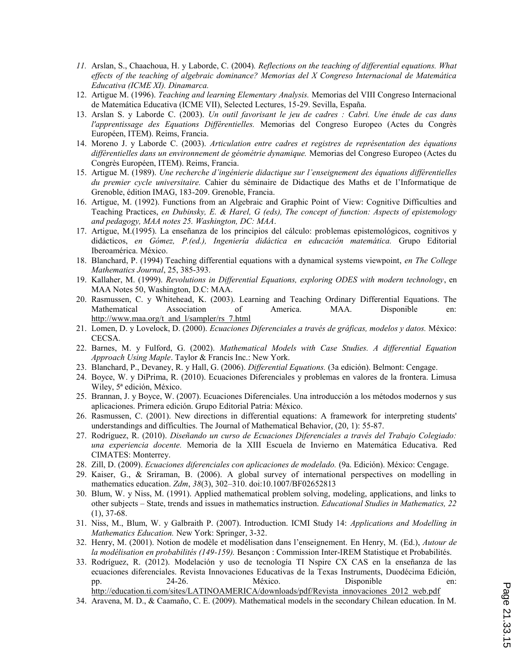- *11.* Arslan, S., Chaachoua, H. y Laborde, C. (2004)*. Reflections on the teaching of differential equations. What effects of the teaching of algebraic dominance? Memorias del X Congreso Internacional de Matemática Educativa (ICME XI). Dinamarca.*
- 12. Artigue M. (1996). *Teaching and learning Elementary Analysis.* Memorias del VIII Congreso Internacional de Matemática Educativa (ICME VII), Selected Lectures, 15-29. Sevilla, España.
- 13. Arslan S. y Laborde C. (2003). *Un outil favorisant le jeu de cadres : Cabri. Une étude de cas dans l'apprentissage des Equations Différentielles.* Memorias del Congreso Europeo (Actes du Congrès Européen, ITEM). Reims, Francia.
- 14. Moreno J. y Laborde C. (2003). *Articulation entre cadres et registres de représentation des équations différentielles dans un environnement de géométrie dynamique.* Memorias del Congreso Europeo (Actes du Congrès Européen, ITEM). Reims, Francia.
- 15. Artigue M. (1989). *Une recherche d'ingénierie didactique sur l'enseignement des équations différentielles du premier cycle universitaire.* Cahier du séminaire de Didactique des Maths et de l'Informatique de Grenoble, édition IMAG, 183-209. Grenoble, Francia.
- 16. Artigue, M. (1992). Functions from an Algebraic and Graphic Point of View: Cognitive Difficulties and Teaching Practices, *en Dubinsky, E. & Harel, G (eds), The concept of function: Aspects of epistemology and pedagogy, MAA notes 25. Washington, DC: MAA*.
- 17. Artigue, M.(1995). La enseñanza de los principios del cálculo: problemas epistemológicos, cognitivos y didácticos, *en Gómez, P.(ed.), Ingeniería didáctica en educación matemática.* Grupo Editorial Iberoamérica. México.
- 18. Blanchard, P. (1994) Teaching differential equations with a dynamical systems viewpoint, *en The College Mathematics Journal*, 25, 385-393.
- 19. Kallaher, M. (1999). *Revolutions in Differential Equations, exploring ODES with modern technology*, en MAA Notes 50, Washington, D.C: MAA.
- 20. Rasmussen, C. y Whitehead, K. (2003). Learning and Teaching Ordinary Differential Equations. The Mathematical Association of America. MAA. Disponible en: http://www.maa.org/t\_and\_l/sampler/rs\_7.html
- 21. Lomen, D. y Lovelock, D. (2000). *Ecuaciones Diferenciales a través de gráficas, modelos y datos.* México: CECSA.
- 22. Barnes, M. y Fulford, G. (2002). *Mathematical Models with Case Studies. A differential Equation Approach Using Maple*. Taylor & Francis Inc.: New York.
- 23. Blanchard, P., Devaney, R. y Hall, G. (2006). *Differential Equations.* (3a edición). Belmont: Cengage.
- 24. Boyce, W. y DiPrima, R. (2010). Ecuaciones Diferenciales y problemas en valores de la frontera. Limusa Wiley, 5ª edición, México.
- 25. Brannan, J. y Boyce, W. (2007). Ecuaciones Diferenciales. Una introducción a los métodos modernos y sus aplicaciones. Primera edición. Grupo Editorial Patria: México.
- 26. Rasmussen, C. (2001). New directions in differential equations: A framework for interpreting students' understandings and difficulties. The Journal of Mathematical Behavior, (20, 1): 55-87.
- 27. Rodríguez, R. (2010). *Diseñando un curso de Ecuaciones Diferenciales a través del Trabajo Colegiado: una experiencia docente.* Memoria de la XIII Escuela de Invierno en Matemática Educativa. Red CIMATES: Monterrey.
- 28. Zill, D. (2009). *Ecuaciones diferenciales con aplicaciones de modelado.* (9a. Edición). México: Cengage.
- 29. Kaiser, G., & Sriraman, B. (2006). A global survey of international perspectives on modelling in mathematics education. *Zdm*, *38*(3), 302–310. doi:10.1007/BF02652813
- 30. Blum, W. y Niss, M. (1991). Applied mathematical problem solving, modeling, applications, and links to other subjects – State, trends and issues in mathematics instruction. *Educational Studies in Mathematics, 22*   $(1), 37-68.$
- 31. Niss, M., Blum, W. y Galbraith P. (2007). Introduction. ICMI Study 14: *Applications and Modelling in Mathematics Education.* New York: Springer, 3-32.
- 32. Henry, M. (2001). Notion de modèle et modélisation dans l'enseignement. En Henry, M. (Ed.), *Autour de la modélisation en probabilités (149-159).* Besançon : Commission Inter-IREM Statistique et Probabilités.
- 33. Rodríguez, R. (2012). Modelación y uso de tecnología TI Nspire CX CAS en la enseñanza de las ecuaciones diferenciales. Revista Innovaciones Educativas de la Texas Instruments, Duodécima Edición, pp. 24-26. México. Disponible en: http://education.ti.com/sites/LATINOAMERICA/downloads/pdf/Revista\_innovaciones\_2012\_web.pdf
- 34. Aravena, M. D., & Caamaño, C. E. (2009). Mathematical models in the secondary Chilean education. In M.